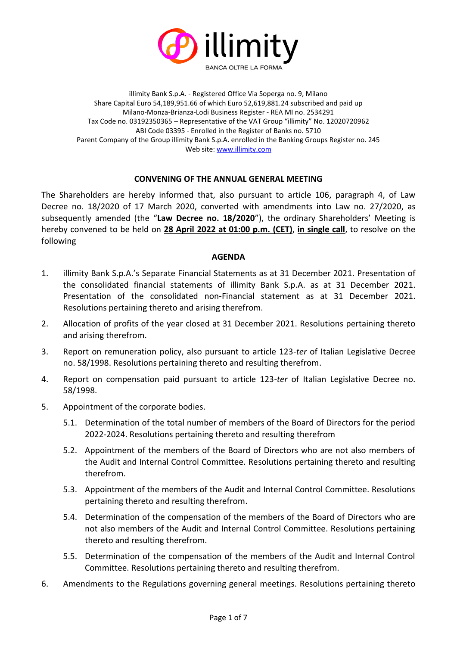

illimity Bank S.p.A. - Registered Office Via Soperga no. 9, Milano Share Capital Euro 54,189,951.66 of which Euro 52,619,881.24 subscribed and paid up Milano-Monza-Brianza-Lodi Business Register - REA MI no. 2534291 Tax Code no. 03192350365 – Representative of the VAT Group "illimity" No. 12020720962 ABI Code 03395 - Enrolled in the Register of Banks no. 5710 Parent Company of the Group illimity Bank S.p.A. enrolled in the Banking Groups Register no. 245 Web site[: www.illimity.com](http://www.illimity.com/)

#### **CONVENING OF THE ANNUAL GENERAL MEETING**

The Shareholders are hereby informed that, also pursuant to article 106, paragraph 4, of Law Decree no. 18/2020 of 17 March 2020, converted with amendments into Law no. 27/2020, as subsequently amended (the "**Law Decree no. 18/2020**"), the ordinary Shareholders' Meeting is hereby convened to be held on **28 April 2022 at 01:00 p.m. (CET)**, **in single call**, to resolve on the following

#### **AGENDA**

- 1. illimity Bank S.p.A.'s Separate Financial Statements as at 31 December 2021. Presentation of the consolidated financial statements of illimity Bank S.p.A. as at 31 December 2021. Presentation of the consolidated non-Financial statement as at 31 December 2021. Resolutions pertaining thereto and arising therefrom.
- 2. Allocation of profits of the year closed at 31 December 2021. Resolutions pertaining thereto and arising therefrom.
- 3. Report on remuneration policy, also pursuant to article 123-*ter* of Italian Legislative Decree no. 58/1998. Resolutions pertaining thereto and resulting therefrom.
- 4. Report on compensation paid pursuant to article 123-*ter* of Italian Legislative Decree no. 58/1998.
- 5. Appointment of the corporate bodies.
	- 5.1. Determination of the total number of members of the Board of Directors for the period 2022-2024. Resolutions pertaining thereto and resulting therefrom
	- 5.2. Appointment of the members of the Board of Directors who are not also members of the Audit and Internal Control Committee. Resolutions pertaining thereto and resulting therefrom.
	- 5.3. Appointment of the members of the Audit and Internal Control Committee. Resolutions pertaining thereto and resulting therefrom.
	- 5.4. Determination of the compensation of the members of the Board of Directors who are not also members of the Audit and Internal Control Committee. Resolutions pertaining thereto and resulting therefrom.
	- 5.5. Determination of the compensation of the members of the Audit and Internal Control Committee. Resolutions pertaining thereto and resulting therefrom.
- 6. Amendments to the Regulations governing general meetings. Resolutions pertaining thereto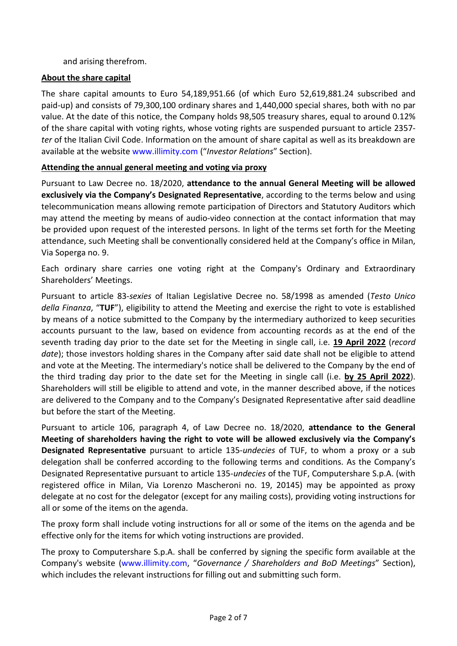and arising therefrom.

## **About the share capital**

The share capital amounts to Euro 54,189,951.66 (of which Euro 52,619,881.24 subscribed and paid-up) and consists of 79,300,100 ordinary shares and 1,440,000 special shares, both with no par value. At the date of this notice, the Company holds 98,505 treasury shares, equal to around 0.12% of the share capital with voting rights, whose voting rights are suspended pursuant to article 2357 *ter* of the Italian Civil Code. Information on the amount of share capital as well as its breakdown are available at the website [www.illimity.com](http://www.illimity.com/) ("*Investor Relations*" Section).

### **Attending the annual general meeting and voting via proxy**

Pursuant to Law Decree no. 18/2020, **attendance to the annual General Meeting will be allowed exclusively via the Company's Designated Representative**, according to the terms below and using telecommunication means allowing remote participation of Directors and Statutory Auditors which may attend the meeting by means of audio-video connection at the contact information that may be provided upon request of the interested persons. In light of the terms set forth for the Meeting attendance, such Meeting shall be conventionally considered held at the Company's office in Milan, Via Soperga no. 9.

Each ordinary share carries one voting right at the Company's Ordinary and Extraordinary Shareholders' Meetings.

Pursuant to article 83-*sexies* of Italian Legislative Decree no. 58/1998 as amended (*Testo Unico della Finanza*, "**TUF**"), eligibility to attend the Meeting and exercise the right to vote is established by means of a notice submitted to the Company by the intermediary authorized to keep securities accounts pursuant to the law, based on evidence from accounting records as at the end of the seventh trading day prior to the date set for the Meeting in single call, i.e. **19 April 2022** (*record date*); those investors holding shares in the Company after said date shall not be eligible to attend and vote at the Meeting. The intermediary's notice shall be delivered to the Company by the end of the third trading day prior to the date set for the Meeting in single call (i.e. **by 25 April 2022**). Shareholders will still be eligible to attend and vote, in the manner described above, if the notices are delivered to the Company and to the Company's Designated Representative after said deadline but before the start of the Meeting.

Pursuant to article 106, paragraph 4, of Law Decree no. 18/2020, **attendance to the General Meeting of shareholders having the right to vote will be allowed exclusively via the Company's Designated Representative** pursuant to article 135-*undecies* of TUF, to whom a proxy or a sub delegation shall be conferred according to the following terms and conditions. As the Company's Designated Representative pursuant to article 135-*undecies* of the TUF, Computershare S.p.A. (with registered office in Milan, Via Lorenzo Mascheroni no. 19, 20145) may be appointed as proxy delegate at no cost for the delegator (except for any mailing costs), providing voting instructions for all or some of the items on the agenda.

The proxy form shall include voting instructions for all or some of the items on the agenda and be effective only for the items for which voting instructions are provided.

The proxy to Computershare S.p.A. shall be conferred by signing the specific form available at the Company's website [\(www.illimity.com](http://www.illimity.com/), "*Governance / Shareholders and BoD Meetings*" Section), which includes the relevant instructions for filling out and submitting such form.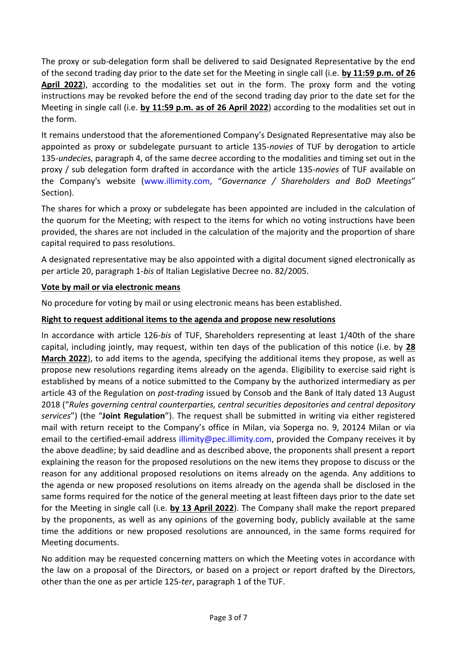The proxy or sub-delegation form shall be delivered to said Designated Representative by the end of the second trading day prior to the date set for the Meeting in single call (i.e. **by 11:59 p.m. of 26 April 2022**), according to the modalities set out in the form. The proxy form and the voting instructions may be revoked before the end of the second trading day prior to the date set for the Meeting in single call (i.e. **by 11:59 p.m. as of 26 April 2022**) according to the modalities set out in the form.

It remains understood that the aforementioned Company's Designated Representative may also be appointed as proxy or subdelegate pursuant to article 135-*novies* of TUF by derogation to article 135-*undecies,* paragraph 4, of the same decree according to the modalities and timing set out in the proxy / sub delegation form drafted in accordance with the article 135-*novies* of TUF available on the Company's website [\(www.illimity.com,](http://www.illimity.com/) "*Governance / Shareholders and BoD Meetings*" Section).

The shares for which a proxy or subdelegate has been appointed are included in the calculation of the quorum for the Meeting; with respect to the items for which no voting instructions have been provided, the shares are not included in the calculation of the majority and the proportion of share capital required to pass resolutions.

A designated representative may be also appointed with a digital document signed electronically as per article 20, paragraph 1-*bis* of Italian Legislative Decree no. 82/2005.

# **Vote by mail or via electronic means**

No procedure for voting by mail or using electronic means has been established.

# **Right to request additional items to the agenda and propose new resolutions**

In accordance with article 126-*bis* of TUF, Shareholders representing at least 1/40th of the share capital, including jointly, may request, within ten days of the publication of this notice (i.e. by **28 March 2022**), to add items to the agenda, specifying the additional items they propose, as well as propose new resolutions regarding items already on the agenda. Eligibility to exercise said right is established by means of a notice submitted to the Company by the authorized intermediary as per article 43 of the Regulation on *post-trading* issued by Consob and the Bank of Italy dated 13 August 2018 ("*Rules governing central counterparties, central securities depositories and central depository services*") (the "**Joint Regulation**"). The request shall be submitted in writing via either registered mail with return receipt to the Company's office in Milan, via Soperga no. 9, 20124 Milan or via email to the certified-email address illimity@pec.illimity.com, provided the Company receives it by the above deadline; by said deadline and as described above, the proponents shall present a report explaining the reason for the proposed resolutions on the new items they propose to discuss or the reason for any additional proposed resolutions on items already on the agenda. Any additions to the agenda or new proposed resolutions on items already on the agenda shall be disclosed in the same forms required for the notice of the general meeting at least fifteen days prior to the date set for the Meeting in single call (i.e. **by 13 April 2022**). The Company shall make the report prepared by the proponents, as well as any opinions of the governing body, publicly available at the same time the additions or new proposed resolutions are announced, in the same forms required for Meeting documents.

No addition may be requested concerning matters on which the Meeting votes in accordance with the law on a proposal of the Directors, or based on a project or report drafted by the Directors, other than the one as per article 125-*ter*, paragraph 1 of the TUF.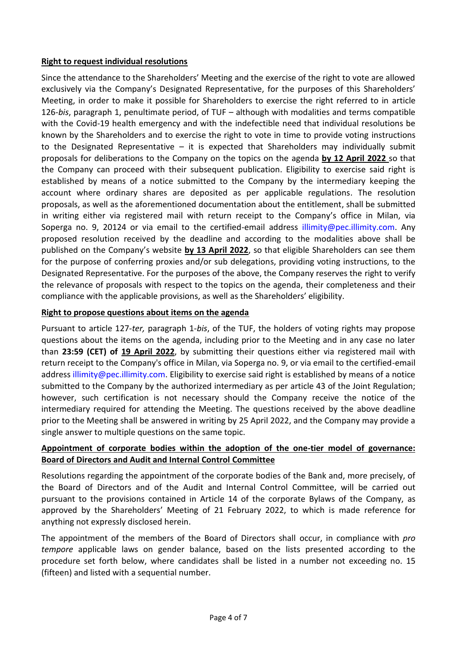### **Right to request individual resolutions**

Since the attendance to the Shareholders' Meeting and the exercise of the right to vote are allowed exclusively via the Company's Designated Representative, for the purposes of this Shareholders' Meeting, in order to make it possible for Shareholders to exercise the right referred to in article 126-*bis*, paragraph 1, penultimate period, of TUF – although with modalities and terms compatible with the Covid-19 health emergency and with the indefectible need that individual resolutions be known by the Shareholders and to exercise the right to vote in time to provide voting instructions to the Designated Representative  $-$  it is expected that Shareholders may individually submit proposals for deliberations to the Company on the topics on the agenda **by 12 April 2022** so that the Company can proceed with their subsequent publication. Eligibility to exercise said right is established by means of a notice submitted to the Company by the intermediary keeping the account where ordinary shares are deposited as per applicable regulations. The resolution proposals, as well as the aforementioned documentation about the entitlement, shall be submitted in writing either via registered mail with return receipt to the Company's office in Milan, via Soperga no. 9, 20124 or via email to the certified-email address [illimity@pec.illimity.com.](mailto:illimity@pec.illimity.com) Any proposed resolution received by the deadline and according to the modalities above shall be published on the Company's website **by 13 April 2022**, so that eligible Shareholders can see them for the purpose of conferring proxies and/or sub delegations, providing voting instructions, to the Designated Representative. For the purposes of the above, the Company reserves the right to verify the relevance of proposals with respect to the topics on the agenda, their completeness and their compliance with the applicable provisions, as well as the Shareholders' eligibility.

# **Right to propose questions about items on the agenda**

Pursuant to article 127-*ter,* paragraph 1-*bis*, of the TUF, the holders of voting rights may propose questions about the items on the agenda, including prior to the Meeting and in any case no later than **23:59 (CET) of 19 April 2022**, by submitting their questions either via registered mail with return receipt to the Company's office in Milan, via Soperga no. 9, or via email to the certified-email address illimity@pec.illimity.com. Eligibility to exercise said right is established by means of a notice submitted to the Company by the authorized intermediary as per article 43 of the Joint Regulation; however, such certification is not necessary should the Company receive the notice of the intermediary required for attending the Meeting. The questions received by the above deadline prior to the Meeting shall be answered in writing by 25 April 2022, and the Company may provide a single answer to multiple questions on the same topic.

# **Appointment of corporate bodies within the adoption of the one-tier model of governance: Board of Directors and Audit and Internal Control Committee**

Resolutions regarding the appointment of the corporate bodies of the Bank and, more precisely, of the Board of Directors and of the Audit and Internal Control Committee, will be carried out pursuant to the provisions contained in Article 14 of the corporate Bylaws of the Company, as approved by the Shareholders' Meeting of 21 February 2022, to which is made reference for anything not expressly disclosed herein.

The appointment of the members of the Board of Directors shall occur, in compliance with *pro tempore* applicable laws on gender balance, based on the lists presented according to the procedure set forth below, where candidates shall be listed in a number not exceeding no. 15 (fifteen) and listed with a sequential number.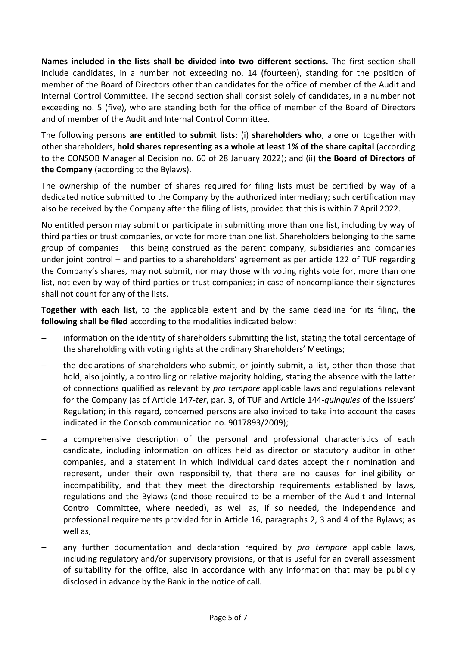**Names included in the lists shall be divided into two different sections.** The first section shall include candidates, in a number not exceeding no. 14 (fourteen), standing for the position of member of the Board of Directors other than candidates for the office of member of the Audit and Internal Control Committee. The second section shall consist solely of candidates, in a number not exceeding no. 5 (five), who are standing both for the office of member of the Board of Directors and of member of the Audit and Internal Control Committee.

The following persons **are entitled to submit lists**: (i) **shareholders who**, alone or together with other shareholders, **hold shares representing as a whole at least 1% of the share capital** (according to the CONSOB Managerial Decision no. 60 of 28 January 2022); and (ii) **the Board of Directors of the Company** (according to the Bylaws).

The ownership of the number of shares required for filing lists must be certified by way of a dedicated notice submitted to the Company by the authorized intermediary; such certification may also be received by the Company after the filing of lists, provided that this is within 7 April 2022.

No entitled person may submit or participate in submitting more than one list, including by way of third parties or trust companies, or vote for more than one list. Shareholders belonging to the same group of companies – this being construed as the parent company, subsidiaries and companies under joint control – and parties to a shareholders' agreement as per article 122 of TUF regarding the Company's shares, may not submit, nor may those with voting rights vote for, more than one list, not even by way of third parties or trust companies; in case of noncompliance their signatures shall not count for any of the lists.

**Together with each list**, to the applicable extent and by the same deadline for its filing, **the following shall be filed** according to the modalities indicated below:

- information on the identity of shareholders submitting the list, stating the total percentage of the shareholding with voting rights at the ordinary Shareholders' Meetings;
- − the declarations of shareholders who submit, or jointly submit, a list, other than those that hold, also jointly, a controlling or relative majority holding, stating the absence with the latter of connections qualified as relevant by *pro tempore* applicable laws and regulations relevant for the Company (as of Article 147-*ter*, par. 3, of TUF and Article 144-*quinquies* of the Issuers' Regulation; in this regard, concerned persons are also invited to take into account the cases indicated in the Consob communication no. 9017893/2009);
- a comprehensive description of the personal and professional characteristics of each candidate, including information on offices held as director or statutory auditor in other companies, and a statement in which individual candidates accept their nomination and represent, under their own responsibility, that there are no causes for ineligibility or incompatibility, and that they meet the directorship requirements established by laws, regulations and the Bylaws (and those required to be a member of the Audit and Internal Control Committee, where needed), as well as, if so needed, the independence and professional requirements provided for in Article 16, paragraphs 2, 3 and 4 of the Bylaws; as well as,
- − any further documentation and declaration required by *pro tempore* applicable laws, including regulatory and/or supervisory provisions, or that is useful for an overall assessment of suitability for the office, also in accordance with any information that may be publicly disclosed in advance by the Bank in the notice of call.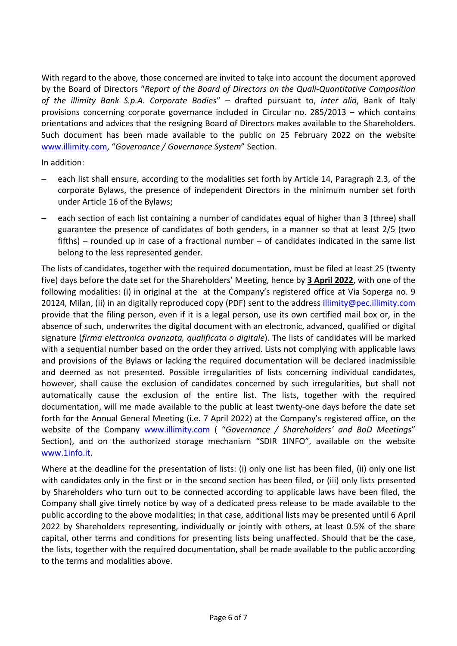With regard to the above, those concerned are invited to take into account the document approved by the Board of Directors "*Report of the Board of Directors on the Quali-Quantitative Composition of the illimity Bank S.p.A. Corporate Bodies*" – drafted pursuant to, *inter alia*, Bank of Italy provisions concerning corporate governance included in Circular no. 285/2013 – which contains orientations and advices that the resigning Board of Directors makes available to the Shareholders. Such document has been made available to the public on 25 February 2022 on the website [www.illimity.com,](http://www.illimity.com/) "*Governance / Governance System*" Section.

In addition:

- each list shall ensure, according to the modalities set forth by Article 14, Paragraph 2.3, of the corporate Bylaws, the presence of independent Directors in the minimum number set forth under Article 16 of the Bylaws;
- − each section of each list containing a number of candidates equal of higher than 3 (three) shall guarantee the presence of candidates of both genders, in a manner so that at least 2/5 (two fifths) – rounded up in case of a fractional number – of candidates indicated in the same list belong to the less represented gender.

The lists of candidates, together with the required documentation, must be filed at least 25 (twenty five) days before the date set for the Shareholders' Meeting, hence by **3 April 2022**, with one of the following modalities: (i) in original at the at the Company's registered office at Via Soperga no. 9 20124, Milan, (ii) in an digitally reproduced copy (PDF) sent to the address illimity@pec.illimity.com provide that the filing person, even if it is a legal person, use its own certified mail box or, in the absence of such, underwrites the digital document with an electronic, advanced, qualified or digital signature (*firma elettronica avanzata, qualificata o digitale*). The lists of candidates will be marked with a sequential number based on the order they arrived. Lists not complying with applicable laws and provisions of the Bylaws or lacking the required documentation will be declared inadmissible and deemed as not presented. Possible irregularities of lists concerning individual candidates, however, shall cause the exclusion of candidates concerned by such irregularities, but shall not automatically cause the exclusion of the entire list. The lists, together with the required documentation, will me made available to the public at least twenty-one days before the date set forth for the Annual General Meeting (i.e. 7 April 2022) at the Company's registered office, on the website of the Company [www.illimity.com](http://www.illimity.com/) ( "*Governance / Shareholders' and BoD Meetings*" Section), and on the authorized storage mechanism "SDIR 1INFO", available on the website [www.1info.it.](http://www.1info.it/)

Where at the deadline for the presentation of lists: (i) only one list has been filed, (ii) only one list with candidates only in the first or in the second section has been filed, or (iii) only lists presented by Shareholders who turn out to be connected according to applicable laws have been filed, the Company shall give timely notice by way of a dedicated press release to be made available to the public according to the above modalities; in that case, additional lists may be presented until 6 April 2022 by Shareholders representing, individually or jointly with others, at least 0.5% of the share capital, other terms and conditions for presenting lists being unaffected. Should that be the case, the lists, together with the required documentation, shall be made available to the public according to the terms and modalities above.